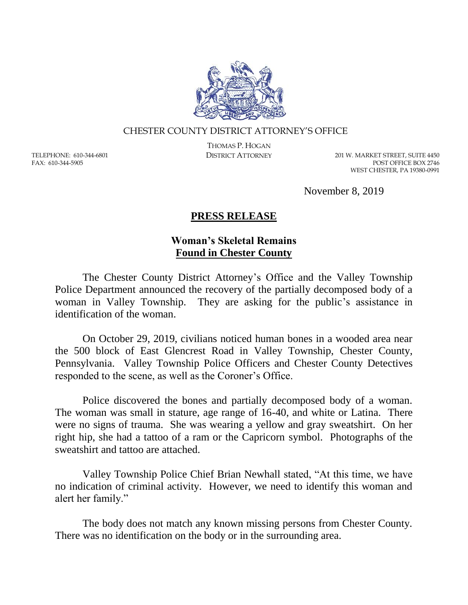

## CHESTER COUNTY DISTRICT ATTORNEY'S OFFICE

TELEPHONE: 610-344-6801 FAX: 610-344-5905

THOMAS P. HOGAN

DISTRICT ATTORNEY 201 W. MARKET STREET, SUITE 4450 POST OFFICE BOX 2746 WEST CHESTER, PA 19380-0991

November 8, 2019

## **PRESS RELEASE**

## **Woman's Skeletal Remains Found in Chester County**

The Chester County District Attorney's Office and the Valley Township Police Department announced the recovery of the partially decomposed body of a woman in Valley Township. They are asking for the public's assistance in identification of the woman.

On October 29, 2019, civilians noticed human bones in a wooded area near the 500 block of East Glencrest Road in Valley Township, Chester County, Pennsylvania. Valley Township Police Officers and Chester County Detectives responded to the scene, as well as the Coroner's Office.

Police discovered the bones and partially decomposed body of a woman. The woman was small in stature, age range of 16-40, and white or Latina. There were no signs of trauma. She was wearing a yellow and gray sweatshirt. On her right hip, she had a tattoo of a ram or the Capricorn symbol. Photographs of the sweatshirt and tattoo are attached.

Valley Township Police Chief Brian Newhall stated, "At this time, we have no indication of criminal activity. However, we need to identify this woman and alert her family."

The body does not match any known missing persons from Chester County. There was no identification on the body or in the surrounding area.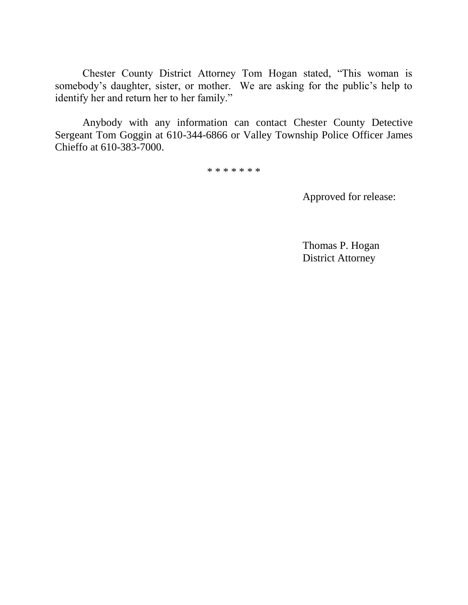Chester County District Attorney Tom Hogan stated, "This woman is somebody's daughter, sister, or mother. We are asking for the public's help to identify her and return her to her family."

Anybody with any information can contact Chester County Detective Sergeant Tom Goggin at 610-344-6866 or Valley Township Police Officer James Chieffo at 610-383-7000.

\* \* \* \* \* \* \*

Approved for release:

Thomas P. Hogan District Attorney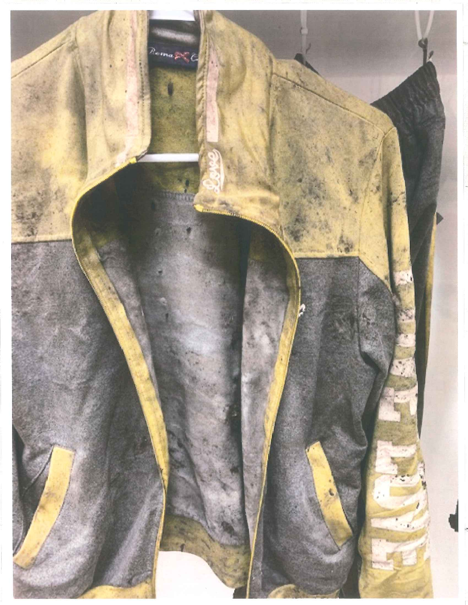